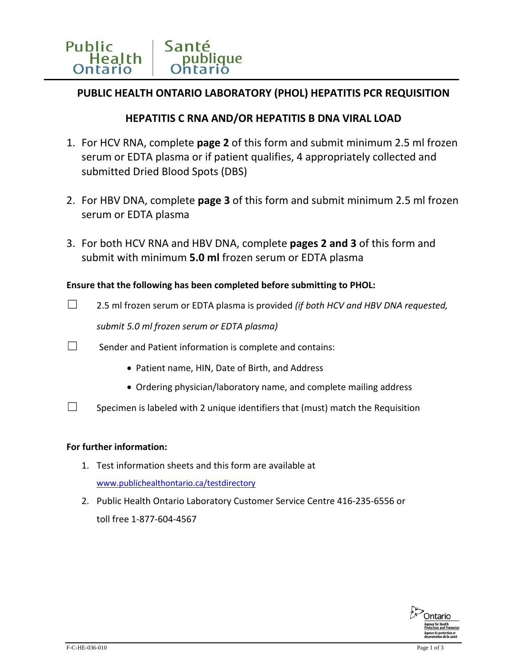# **PUBLIC HEALTH ONTARIO LABORATORY (PHOL) HEPATITIS PCR REQUISITION**

## **HEPATITIS C RNA AND/OR HEPATITIS B DNA VIRAL LOAD**

- 1. For HCV RNA, complete **page 2** of this form and submit minimum 2.5 ml frozen serum or EDTA plasma or if patient qualifies, 4 appropriately collected and submitted Dried Blood Spots (DBS)
- 2. For HBV DNA, complete **page 3** of this form and submit minimum 2.5 ml frozen serum or EDTA plasma
- 3. For both HCV RNA and HBV DNA, complete **pages 2 and 3** of this form and submit with minimum **5.0 ml** frozen serum or EDTA plasma

### **Ensure that the following has been completed before submitting to PHOL:**

- ☐ 2.5 ml frozen serum or EDTA plasma is provided *(if both HCV and HBV DNA requested, submit 5.0 ml frozen serum or EDTA plasma)*
- $\Box$  Sender and Patient information is complete and contains:
	- Patient name, HIN, Date of Birth, and Address
	- Ordering physician/laboratory name, and complete mailing address
- $\Box$  Specimen is labeled with 2 unique identifiers that (must) match the Requisition

### **For further information:**

- 1. Test information sheets and this form are available at [www.publichealthontario.ca/testdirectory](http://www.publichealthontario.ca/testdirectory)
- 2. Public Health Ontario Laboratory Customer Service Centre 416-235-6556 or toll free 1-877-604-4567

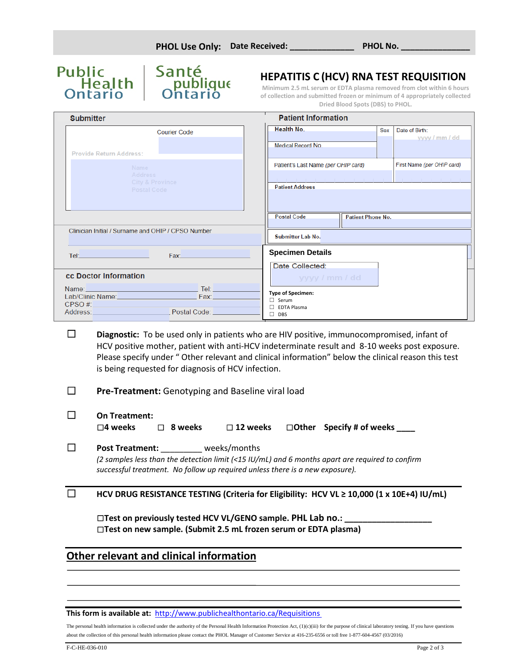

# **HEPATITIS C (HCV) RNA TEST REQUISITION**

**Minimum 2.5 mL serum or EDTA plasma removed from clot within 6 hours of collection and submitted frozen or minimum of 4 appropriately collected Dried Blood Spots (DBS) to PHOL.**

| <b>Submitter</b>                                                                                                                                                                                                                                                                                                                                               | <b>Patient Information</b>                                        |
|----------------------------------------------------------------------------------------------------------------------------------------------------------------------------------------------------------------------------------------------------------------------------------------------------------------------------------------------------------------|-------------------------------------------------------------------|
| <b>Courier Code</b>                                                                                                                                                                                                                                                                                                                                            | Health No.<br>Sex<br>Date of Birth:<br>vyvy / mm / dd             |
| <b>Provide Return Address:</b>                                                                                                                                                                                                                                                                                                                                 | Medical Record No.                                                |
| <b>Name</b>                                                                                                                                                                                                                                                                                                                                                    | First Name (per OHIP card)<br>Patient's Last Name (per OHIP card) |
| <b>Address</b><br><b>City &amp; Province</b><br>Postal Code                                                                                                                                                                                                                                                                                                    | <b>Patient Address</b>                                            |
|                                                                                                                                                                                                                                                                                                                                                                |                                                                   |
|                                                                                                                                                                                                                                                                                                                                                                | <b>Postal Code</b><br><b>Patient Phone No.</b>                    |
| Clinician Initial / Surname and OHIP / CPSO Number                                                                                                                                                                                                                                                                                                             | <b>Submitter Lab No.</b>                                          |
| Tel: The Company of the Company of the Company of the Company of the Company of the Company of the Company of the Company of the Company of the Company of the Company of the Company of the Company of the Company of the Com<br>Fax: <b>Example</b>                                                                                                          | <b>Specimen Details</b>                                           |
|                                                                                                                                                                                                                                                                                                                                                                | Date Collected:                                                   |
| <b>cc Doctor Information</b>                                                                                                                                                                                                                                                                                                                                   | yyyy / mm / dd                                                    |
|                                                                                                                                                                                                                                                                                                                                                                | <b>Type of Specimen:</b>                                          |
| Name: Tel: 2008 - 2009 - 2009 - 2009 - 2010 - 2010 - 2011 - 2012 - 2014 - 2014 - 2014 - 2014 - 2014 - 2014 - 20<br>Lab/Clinic Name: Mannell Mannell Mannell Pax: Mannell Pax: Mannell Pax: Mannell Pax: Mannell Pax: Mannell Pax: Mannell Pax: Mannell Pax: Mannell Pax: Mannell Pax: Mannell Pax: Mannell Pax: Mannell Pax: Mannell Pax: Mannell<br>$CPSO \#$ | $\Box$ Serum<br>EDTA Plasma                                       |

☐ **Diagnostic:** To be used only in patients who are HIV positive, immunocompromised, infant of HCV positive mother, patient with anti-HCV indeterminate result and 8-10 weeks post exposure. Please specify under " Other relevant and clinical information" below the clinical reason this test is being requested for diagnosis of HCV infection.

☐ **Pre-Treatment:** Genotyping and Baseline viral load

☐ **On Treatment:**

☐**4 weeks** ☐ **8 weeks** ☐ **12 weeks** ☐**Other Specify # of weeks \_\_\_\_** 

☐ **Post Treatment:** \_\_\_\_\_\_\_\_\_ weeks/months *(2 samples less than the detection limit (<15 IU/mL) and 6 months apart are required to confirm successful treatment. No follow up required unless there is a new exposure).*

#### ☐ **HCV DRUG RESISTANCE TESTING (Criteria for Eligibility: HCV VL ≥ 10,000 (1 x 10E+4) IU/mL)**

☐**Test on previously tested HCV VL/GENO sample. PHL Lab no.: \_\_\_\_\_\_\_\_\_\_\_\_\_\_\_\_\_\_\_** ☐**Test on new sample. (Submit 2.5 mL frozen serum or EDTA plasma)**

# **Other relevant and clinical information**

#### **This form is available at:** <http://www.publichealthontario.ca/Requisitions>

The personal health information is collected under the authority of the Personal Health Information Protection Act, (1)(c)(iii) for the purpose of clinical laboratory testing. If you have questions about the collection of this personal health information please contact the PHOL Manager of Customer Service at 416-235-6556 or toll free 1-877-604-4567 (03/2016)